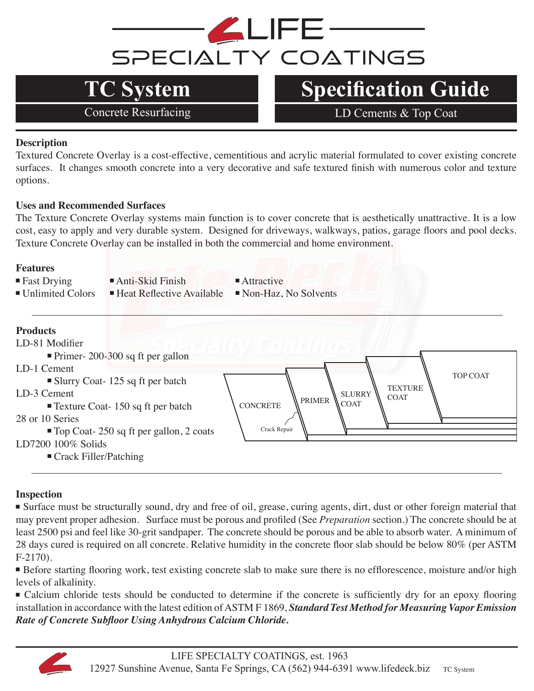

# **TC System Specification Guide**

Concrete Resurfacing LD Cements & Top Coat

### **Description**

Textured Concrete Overlay is a cost-effective, cementitious and acrylic material formulated to cover existing concrete surfaces. It changes smooth concrete into a very decorative and safe textured finish with numerous color and texture options.

### **Uses and Recommended Surfaces**

The Texture Concrete Overlay systems main function is to cover concrete that is aesthetically unattractive. It is a low cost, easy to apply and very durable system. Designed for driveways, walkways, patios, garage floors and pool decks. Texture Concrete Overlay can be installed in both the commercial and home environment.

### **Features**

- 
- $\blacksquare$  Fast Drying  $\blacksquare$  Anti-Skid Finish  $\blacksquare$  Attractive
	-
- $\blacksquare$  Unlimited Colors  $\blacksquare$  Heat Reflective Available  $\blacksquare$  Non-Haz, No Solvents

### **Products** LD-81 Modifier <sup>n</sup> Primer- 200-300 sq ft per gallon LD-1 Cement  $\blacksquare$  Slurry Coat- 125 sq ft per batch LD-3 Cement  $\blacksquare$  Texture Coat- 150 sq ft per batch 28 or 10 Series ■ Top Coat- 250 sq ft per gallon, 2 coats LD7200 100% Solids  $\blacksquare$  Crack Filler/Patching CONCRETE PRIMER TOP COAT Crack Repair SLURRY **COAT TEXTURE COAT**

### **Inspection**

■ Surface must be structurally sound, dry and free of oil, grease, curing agents, dirt, dust or other foreign material that may prevent proper adhesion. Surface must be porous and profiled (See *Preparation* section.) The concrete should be at least 2500 psi and feel like 30-grit sandpaper. The concrete should be porous and be able to absorb water. A minimum of 28 days cured is required on all concrete. Relative humidity in the concrete floor slab should be below 80% (per ASTM F-2170).

■ Before starting flooring work, test existing concrete slab to make sure there is no efflorescence, moisture and/or high levels of alkalinity.

<sup>n</sup>Calcium chloride tests should be conducted to determine if the concrete is sufficiently dry for an epoxy flooring installation in accordance with the latest edition of ASTM F 1869, *Standard Test Method for Measuring Vapor Emission Rate of Concrete Subfloor Using Anhydrous Calcium Chloride.* 

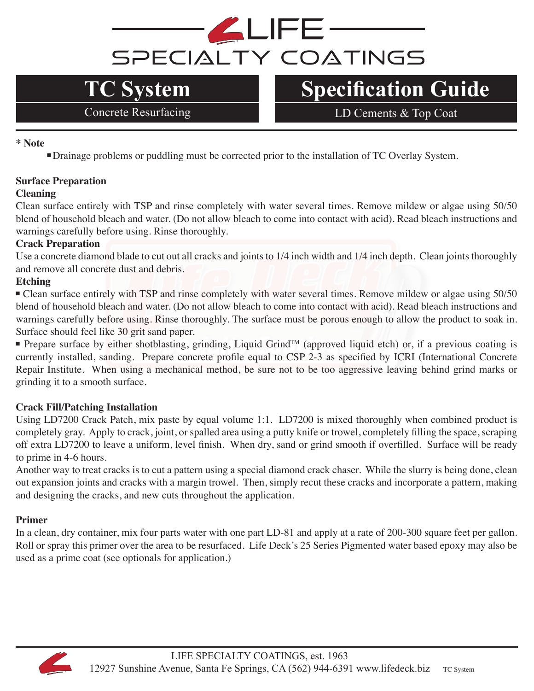

# **TC System Specification Guide**

Concrete Resurfacing LD Cements & Top Coat

**\* Note**

<sup>n</sup>Drainage problems or puddling must be corrected prior to the installation of TC Overlay System.

### **Surface Preparation**

### **Cleaning**

Clean surface entirely with TSP and rinse completely with water several times. Remove mildew or algae using 50/50 blend of household bleach and water. (Do not allow bleach to come into contact with acid). Read bleach instructions and warnings carefully before using. Rinse thoroughly.

### **Crack Preparation**

Use a concrete diamond blade to cut out all cracks and joints to 1/4 inch width and 1/4 inch depth. Clean joints thoroughly and remove all concrete dust and debris.

### **Etching**

<sup>n</sup>Clean surface entirely with TSP and rinse completely with water several times. Remove mildew or algae using 50/50 blend of household bleach and water. (Do not allow bleach to come into contact with acid). Read bleach instructions and warnings carefully before using. Rinse thoroughly. The surface must be porous enough to allow the product to soak in. Surface should feel like 30 grit sand paper.

Prepare surface by either shotblasting, grinding, Liquid Grind<sup>TM</sup> (approved liquid etch) or, if a previous coating is currently installed, sanding. Prepare concrete profile equal to CSP 2-3 as specified by ICRI (International Concrete Repair Institute. When using a mechanical method, be sure not to be too aggressive leaving behind grind marks or grinding it to a smooth surface.

### **Crack Fill/Patching Installation**

Using LD7200 Crack Patch, mix paste by equal volume 1:1. LD7200 is mixed thoroughly when combined product is completely gray. Apply to crack, joint, or spalled area using a putty knife or trowel, completely filling the space, scraping off extra LD7200 to leave a uniform, level finish. When dry, sand or grind smooth if overfilled. Surface will be ready to prime in 4-6 hours.

Another way to treat cracks is to cut a pattern using a special diamond crack chaser. While the slurry is being done, clean out expansion joints and cracks with a margin trowel. Then, simply recut these cracks and incorporate a pattern, making and designing the cracks, and new cuts throughout the application.

### **Primer**

In a clean, dry container, mix four parts water with one part LD-81 and apply at a rate of 200-300 square feet per gallon. Roll or spray this primer over the area to be resurfaced. Life Deck's 25 Series Pigmented water based epoxy may also be used as a prime coat (see optionals for application.)

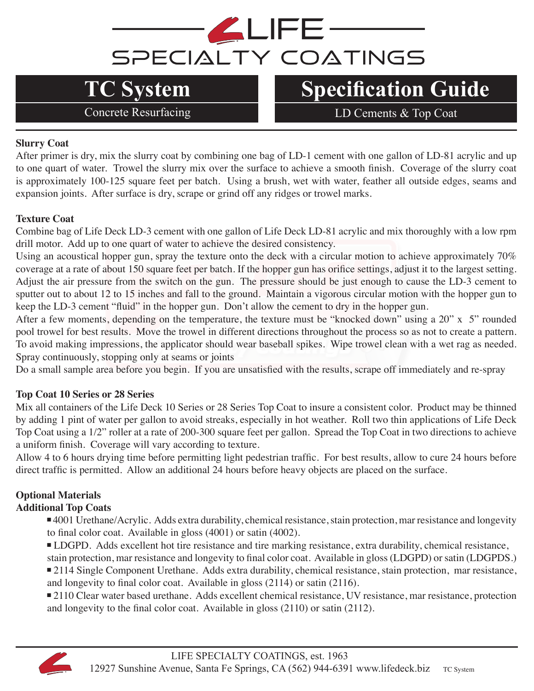# LIFE<sup>.</sup> SPECIALTY COATINGS

# **TC System Specification Guide**

Concrete Resurfacing LD Cements & Top Coat

### **Slurry Coat**

After primer is dry, mix the slurry coat by combining one bag of LD-1 cement with one gallon of LD-81 acrylic and up to one quart of water. Trowel the slurry mix over the surface to achieve a smooth finish. Coverage of the slurry coat is approximately 100-125 square feet per batch. Using a brush, wet with water, feather all outside edges, seams and expansion joints. After surface is dry, scrape or grind off any ridges or trowel marks.

### **Texture Coat**

Combine bag of Life Deck LD-3 cement with one gallon of Life Deck LD-81 acrylic and mix thoroughly with a low rpm drill motor. Add up to one quart of water to achieve the desired consistency.

Using an acoustical hopper gun, spray the texture onto the deck with a circular motion to achieve approximately 70% coverage at a rate of about 150 square feet per batch. If the hopper gun has orifice settings, adjust it to the largest setting. Adjust the air pressure from the switch on the gun. The pressure should be just enough to cause the LD-3 cement to sputter out to about 12 to 15 inches and fall to the ground. Maintain a vigorous circular motion with the hopper gun to keep the LD-3 cement "fluid" in the hopper gun. Don't allow the cement to dry in the hopper gun.

After a few moments, depending on the temperature, the texture must be "knocked down" using a 20" x 5" rounded pool trowel for best results. Move the trowel in different directions throughout the process so as not to create a pattern. To avoid making impressions, the applicator should wear baseball spikes. Wipe trowel clean with a wet rag as needed. Spray continuously, stopping only at seams or joints

Do a small sample area before you begin. If you are unsatisfied with the results, scrape off immediately and re-spray

### **Top Coat 10 Series or 28 Series**

Mix all containers of the Life Deck 10 Series or 28 Series Top Coat to insure a consistent color. Product may be thinned by adding 1 pint of water per gallon to avoid streaks, especially in hot weather. Roll two thin applications of Life Deck Top Coat using a 1/2" roller at a rate of 200-300 square feet per gallon. Spread the Top Coat in two directions to achieve a uniform finish. Coverage will vary according to texture.

Allow 4 to 6 hours drying time before permitting light pedestrian traffic. For best results, allow to cure 24 hours before direct traffic is permitted. Allow an additional 24 hours before heavy objects are placed on the surface.

### **Optional Materials**

### **Additional Top Coats**

<sup>n</sup> 4001 Urethane/Acrylic. Adds extra durability, chemical resistance, stain protection, mar resistance and longevity to final color coat. Available in gloss (4001) or satin (4002).

<sup>n</sup> LDGPD. Adds excellent hot tire resistance and tire marking resistance, extra durability, chemical resistance, stain protection, mar resistance and longevity to final color coat. Available in gloss (LDGPD) or satin (LDGPDS.)

■ 2114 Single Component Urethane. Adds extra durability, chemical resistance, stain protection, mar resistance, and longevity to final color coat. Available in gloss (2114) or satin (2116).

■ 2110 Clear water based urethane. Adds excellent chemical resistance, UV resistance, mar resistance, protection and longevity to the final color coat. Available in gloss (2110) or satin (2112).